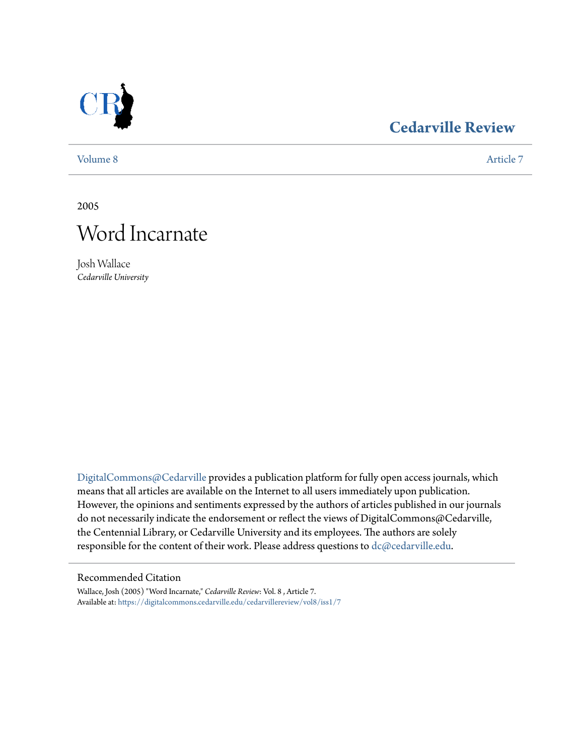

### **[Cedarville Review](https://digitalcommons.cedarville.edu/cedarvillereview?utm_source=digitalcommons.cedarville.edu%2Fcedarvillereview%2Fvol8%2Fiss1%2F7&utm_medium=PDF&utm_campaign=PDFCoverPages)**

[Volume 8](https://digitalcommons.cedarville.edu/cedarvillereview/vol8?utm_source=digitalcommons.cedarville.edu%2Fcedarvillereview%2Fvol8%2Fiss1%2F7&utm_medium=PDF&utm_campaign=PDFCoverPages) [Article 7](https://digitalcommons.cedarville.edu/cedarvillereview/vol8/iss1/7?utm_source=digitalcommons.cedarville.edu%2Fcedarvillereview%2Fvol8%2Fiss1%2F7&utm_medium=PDF&utm_campaign=PDFCoverPages)

2005



Josh Wallace *Cedarville University*

[DigitalCommons@Cedarville](http://digitalcommons.cedarville.edu) provides a publication platform for fully open access journals, which means that all articles are available on the Internet to all users immediately upon publication. However, the opinions and sentiments expressed by the authors of articles published in our journals do not necessarily indicate the endorsement or reflect the views of DigitalCommons@Cedarville, the Centennial Library, or Cedarville University and its employees. The authors are solely responsible for the content of their work. Please address questions to [dc@cedarville.edu](mailto:dc@cedarville.edu).

### Recommended Citation

Wallace, Josh (2005) "Word Incarnate," *Cedarville Review*: Vol. 8 , Article 7. Available at: [https://digitalcommons.cedarville.edu/cedarvillereview/vol8/iss1/7](https://digitalcommons.cedarville.edu/cedarvillereview/vol8/iss1/7?utm_source=digitalcommons.cedarville.edu%2Fcedarvillereview%2Fvol8%2Fiss1%2F7&utm_medium=PDF&utm_campaign=PDFCoverPages)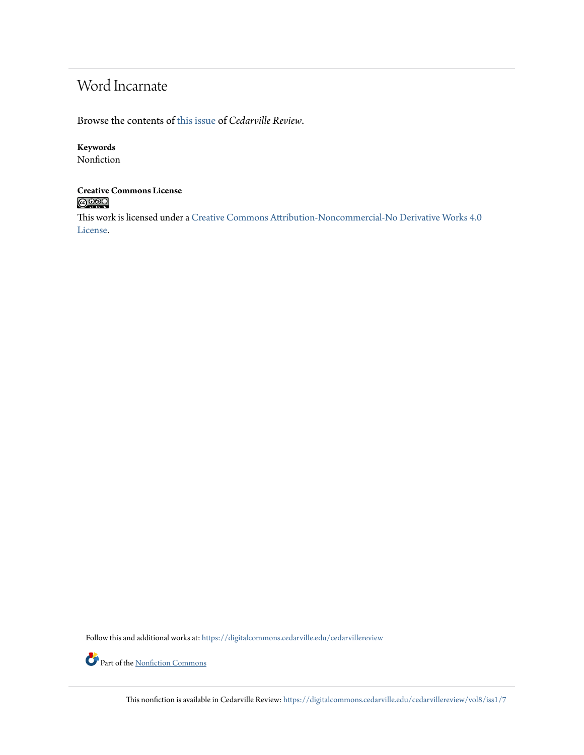## Word Incarnate

Browse the contents of [this issue](https://digitalcommons.cedarville.edu/cedarvillereview/vol8/iss1) of *Cedarville Review*.

### **Keywords**

Nonfiction

## **Creative Commons License**

This work is licensed under a [Creative Commons Attribution-Noncommercial-No Derivative Works 4.0](http://creativecommons.org/licenses/by-nc-nd/4.0/) [License.](http://creativecommons.org/licenses/by-nc-nd/4.0/)

Follow this and additional works at: [https://digitalcommons.cedarville.edu/cedarvillereview](https://digitalcommons.cedarville.edu/cedarvillereview?utm_source=digitalcommons.cedarville.edu%2Fcedarvillereview%2Fvol8%2Fiss1%2F7&utm_medium=PDF&utm_campaign=PDFCoverPages)



This nonfiction is available in Cedarville Review: [https://digitalcommons.cedarville.edu/cedarvillereview/vol8/iss1/7](https://digitalcommons.cedarville.edu/cedarvillereview/vol8/iss1/7?utm_source=digitalcommons.cedarville.edu%2Fcedarvillereview%2Fvol8%2Fiss1%2F7&utm_medium=PDF&utm_campaign=PDFCoverPages)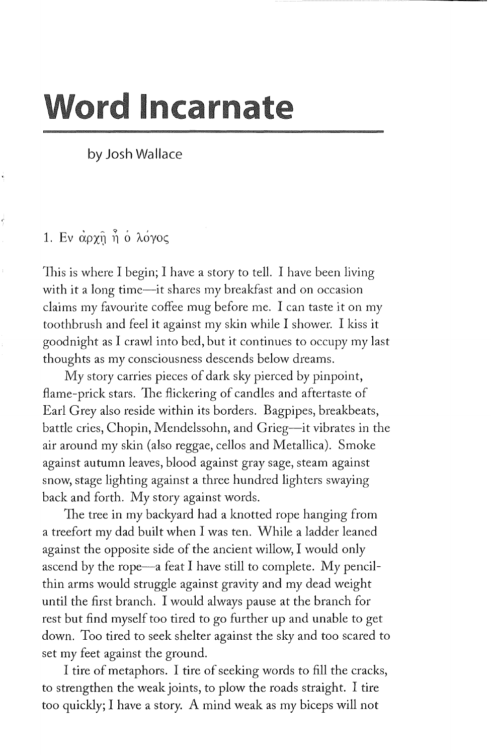# **Word Incarnate**

by Josh Wallace

### 1. Εν άρχη ή ο λόγος

This is where I begin; I have a story to tell. I have been living with it a long time-it shares my breakfast and on occasion claims my favourite coffee mug before me. I can taste it on my toothbrush and feel it against my skin while I shower. I kiss it goodnight as I crawl into bed, but it continues to occupy my last thoughts as my consciousness descends below dreams.

My story carries pieces of dark sky pierced by pinpoint, flame-prick stars. The flickering of candles and aftertaste of Earl Grey also reside within its borders. Bagpipes, breakbeats, battle cries, Chopin, Mendelssohn, and Grieg-it vibrates in the air around my skin (also reggae, cellos and Metallica). Smoke against autumn leaves, blood against gray sage, steam against snow, stage lighting against a three hundred lighters swaying back and forth. My story against words.

The tree in my backyard had a knotted rope hanging from a treefort my dad built when I was ten. While a ladder leaned against the opposite side of the ancient willow, I would only ascend by the rope—a feat I have still to complete. My pencilthin arms would struggle against gravity and my dead weight until the first branch. I would always pause at the branch for rest but find myself too tired to go further up and unable to get down. Too tired to seek shelter against the sky and too scared to set my feet against the ground.

I tire of metaphors. I tire of seeking words to fill the cracks, to strengthen the weak joints, to plow the roads straight. I tire too quickly; I have a story. A mind weak as my biceps will not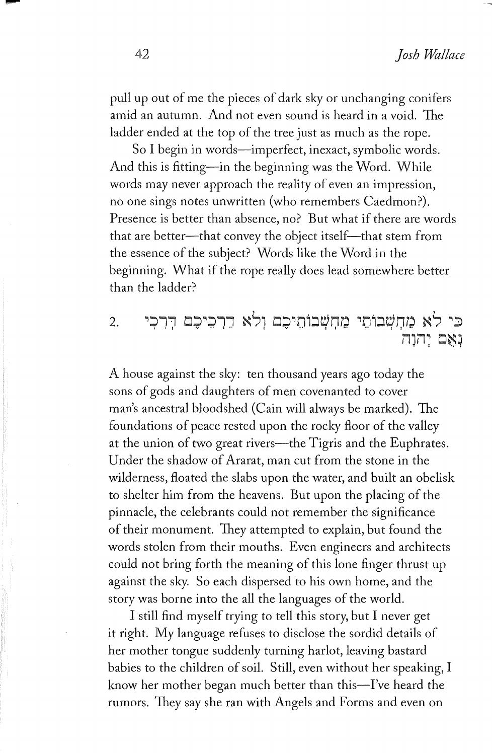pull up out of me the pieces of dark sky or unchanging conifers amid an autumn. And not even sound is heard in a void. The ladder ended at the top of the tree just as much as the rope.

So I begin in words-imperfect, inexact, symbolic words. And this is fitting-in the beginning was the Word. While words may never approach the reality of even an impression, no one sings notes unwritten (who remembers Caedmon?). Presence is better than absence, no? But what if there are words that are better--that convey the object itself--that stem from the essence of the subject? Words like the Word in the beginning. What if the rope really does lead somewhere better than the ladder?

#### כי לא מחשבותי מחשבותיכם ולא דרכיכם דרכי 2. נאם יחוח

A house against the sky: ten thousand years ago today the sons of gods and daughters of men covenanted to cover man's ancestral bloodshed (Cain will always be marked). The foundations of peace rested upon the rocky floor of the valley at the union of two great rivers-the Tigris and the Euphrates. Under the shadow of Ararat, man cut from the stone in the wilderness, floated the slabs upon the water, and built an obelisk to shelter him from the heavens. But upon the placing of the pinnacle, the celebrants could not remember the significance of their monument. 1hey attempted to explain, but found the words stolen from their mouths. Even engineers and architects could not bring forth the meaning of this lone finger thrust up against the sky. So each dispersed to his own home, and the story was borne into the all the languages of the world.

I still find myself trying to tell this story, but I never get it right. My language refuses to disclose the sordid details of her mother tongue suddenly turning harlot, leaving bastard babies to the children of soil. Still, even without her speaking, I know her mother began much better than this-I've heard the rumors. They say she ran with Angels and Forms and even on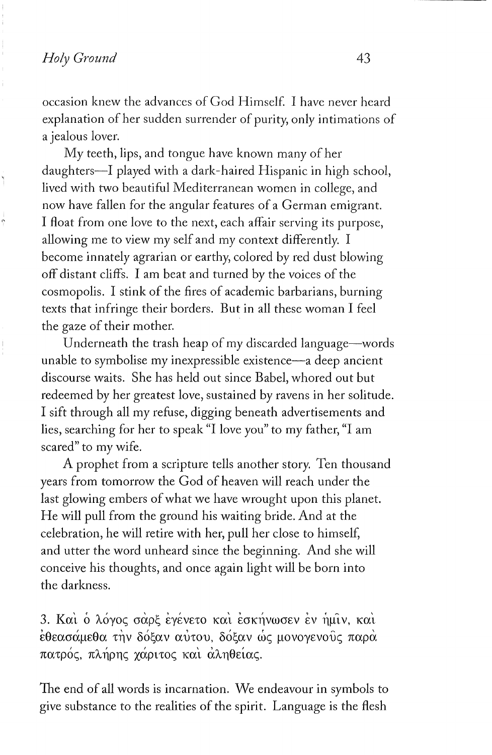occasion knew the advances of God Himself. I have never heard explanation of her sudden surrender of purity, only intimations of a jealous lover.

My teeth, lips, and tongue have known many of her daughters-I played with a dark-haired Hispanic in high school, lived with two beautiful Mediterranean women in college, and now have fallen for the angular features of a German emigrant. I float from one love to the next, each affair serving its purpose, allowing me to view my self and my context differently. I become innately agrarian or earthy, colored by red dust blowing off distant cliffs. I am beat and turned by the voices of the cosmopolis. I stink of the fires of academic barbarians, burning texts that infringe their borders. But in all these woman I feel the gaze of their mother.

Underneath the trash heap of my discarded language-words unable to symbolise my inexpressible existence-a deep ancient discourse waits. She has held out since Babel, whored out but redeemed by her greatest love, sustained by ravens in her solitude. I sift through all my refuse, digging beneath advertisements and lies, searching for her to speak "I love you" to my father, "I am scared" to my wife.

A prophet from a scripture tells another story. Ten thousand years from tomorrow the God of heaven will reach under the last glowing embers of what we have wrought upon this planet. He will pull from the ground his waiting bride. And at the celebration, he will retire with her, pull her close to himself, and utter the word unheard since the beginning. And she will conceive his thoughts, and once again light will be born into the darkness.

3. Και ο λόγος σαρξ εγένετο και εσκήνωσεν εν ημίν, και εθεασάμεθα την δόξαν αύτου, δόξαν ως μονογενούς παρα πατρός, πλήρης χάριτος και αληθείας.

The end of all words is incarnation. We endeavour in symbols to give substance to the realities of the spirit. Language is the flesh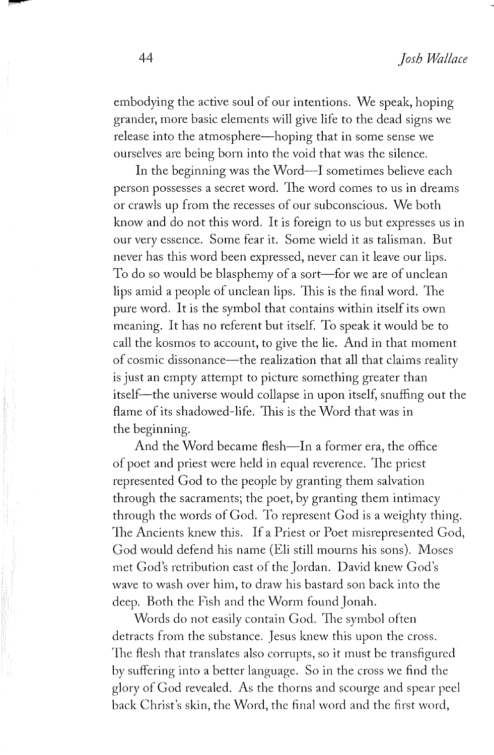embodying the active soul of our intentions. We speak, hoping grander, more basic elements will give life to the dead signs we release into the atmosphere—hoping that in some sense we ourselves are being born into the void that was the silence.

In the beginning was the Word-I sometimes believe each person possesses a secret word. The word comes to us in dreams or crawls up from the recesses of our subconscious. We both know and do not this word. It is foreign to us but expresses us in our very essence. Some fear it. Some wield it as talisman. But never has this word been expressed, never can it leave our lips. To do so would be blasphemy of a sort—for we are of unclean lips amid a people of unclean lips. 1his is the final word. The pure word. It is the symbol that contains within itself its own meaning. It has no referent but itself. To speak it would be to call the kosmos to account, to give the lie. And in that moment of cosmic dissonance-the realization that all that claims reality is just an empty attempt to picture something greater than itself-the universe would collapse in upon itself, snuffing out the flame of its shadowed-life. This is the Word that was in the beginning.

And the Word became flesh—In a former era, the office of poet and priest were held in equal reverence. The priest represented God to the people by granting them salvation through the sacraments; the poet, by granting them intimacy through the words of God. To represent God is a weighty thing. The Ancients knew this. If a Priest or Poet misrepresented God, God would defend his name (Eli still mourns his sons). Moses met God's retribution east of the Jordan. David knew God's wave to wash over him, to draw his bastard son back into the deep. Both the Fish and the Worm found Jonah.

Words do not easily contain God. The symbol often detracts from the substance. Jesus knew this upon the cross. The flesh that translates also corrupts, so it must be transfigured by suffering into a better language. So in the cross we find the glory of God revealed. As the thorns and scourge and spear peel back Christ's skin, the \i\Tord, the final word and the first word,